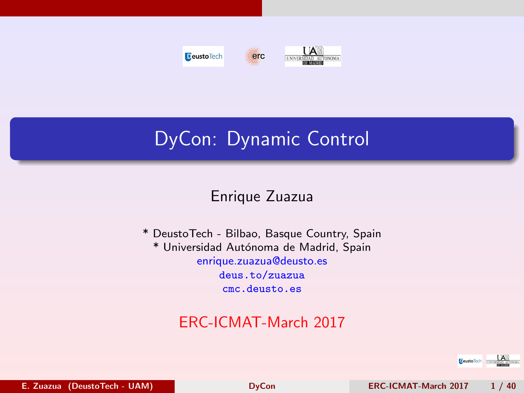<span id="page-0-0"></span>



# DyCon: Dynamic Control

#### Enrique Zuazua

\* DeustoTech - Bilbao, Basque Country, Spain \* Universidad Autónoma de Madrid, Spain enrique.zuazua@deusto.es <deus.to/zuazua> <cmc.deusto.es>

# ERC-ICMAT-March 2017

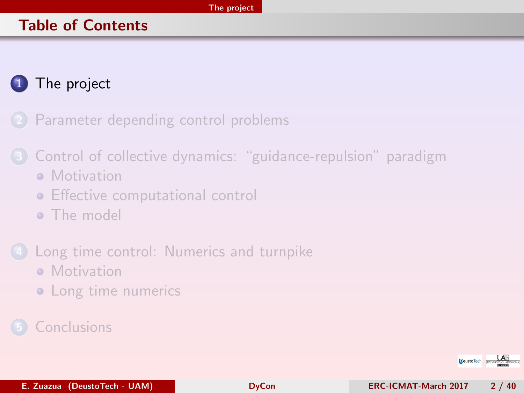#### <span id="page-1-0"></span>Table of Contents

# [The project](#page-1-0)

2 [Parameter depending control problems](#page-13-0)

- 3 [Control of collective dynamics: "guidance-repulsion" paradigm](#page-16-0) **• [Motivation](#page-17-0)** 
	- **•** [Effective computational control](#page-18-0)
	- **•** [The model](#page-19-0)
- [Long time control: Numerics and turnpike](#page-22-0) **• [Motivation](#page-23-0)** 
	- [Long time numerics](#page-25-0)

### **[Conclusions](#page-38-0)**

**Deustollech** TNIVER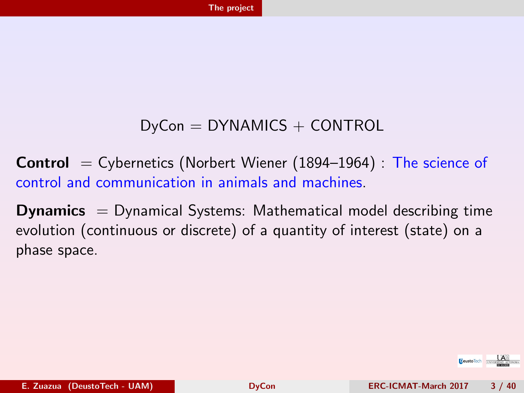### $DvCon = DYNAMICS + CONTROL$

<span id="page-2-0"></span>**Control**  $=$  Cybernetics (Norbert Wiener (1894–1964) : The science of control and communication in animals and machines.

**Dynamics**  $=$  Dynamical Systems: Mathematical model describing time evolution (continuous or discrete) of a quantity of interest (state) on a phase space.

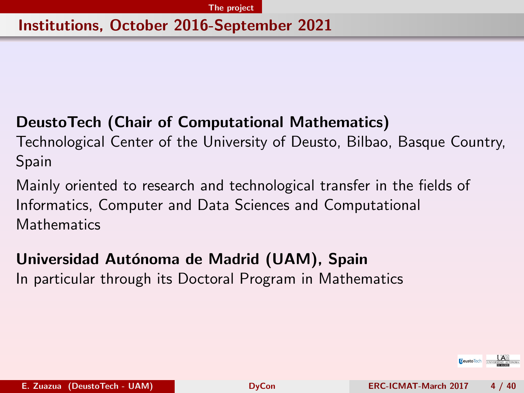#### <span id="page-3-0"></span>Institutions, October 2016-September 2021

### DeustoTech (Chair of Computational Mathematics)

Technological Center of the University of Deusto, Bilbao, Basque Country, Spain

Mainly oriented to research and technological transfer in the fields of Informatics, Computer and Data Sciences and Computational **Mathematics** 

# Universidad Autónoma de Madrid (UAM), Spain In particular through its Doctoral Program in Mathematics

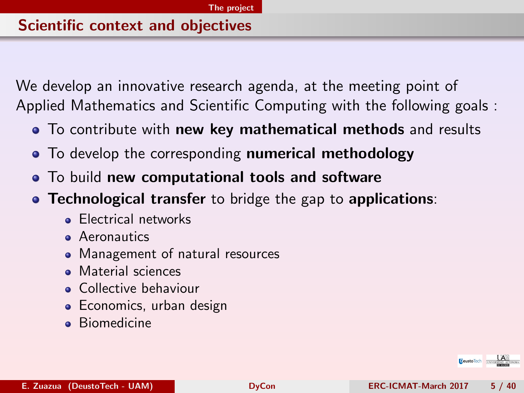#### <span id="page-4-0"></span>Scientific context and objectives

We develop an innovative research agenda, at the meeting point of Applied Mathematics and Scientific Computing with the following goals :

- To contribute with new key mathematical methods and results
- To develop the corresponding numerical methodology
- To build new computational tools and software
- **Technological transfer** to bridge the gap to **applications**:
	- **Electrical networks**
	- **A**eronautics
	- Management of natural resources
	- Material sciences
	- **Collective behaviour**
	- Economics, urban design
	- **Biomedicine**

**E**eustoTech **LANSING**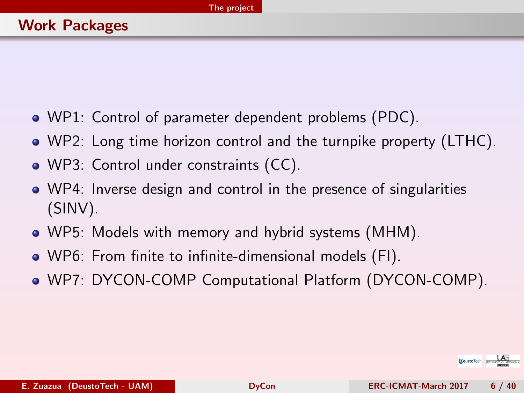- <span id="page-5-0"></span>WP1: Control of parameter dependent problems (PDC).
- WP2: Long time horizon control and the turnpike property (LTHC).
- WP3: Control under constraints (CC).
- WP4: Inverse design and control in the presence of singularities (SINV).
- WP5: Models with memory and hybrid systems (MHM).
- WP6: From finite to infinite-dimensional models (FI).
- WP7: DYCON-COMP Computational Platform (DYCON-COMP).

**E**eustoTech **TNATES**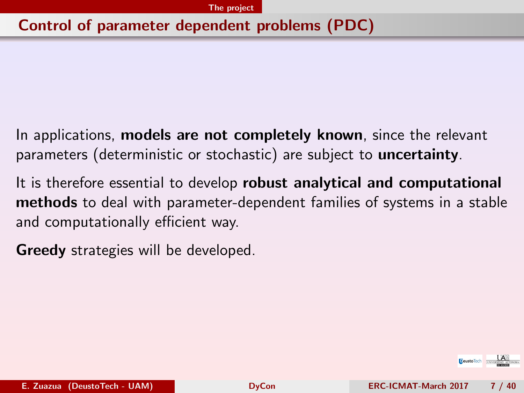#### <span id="page-6-0"></span>Control of parameter dependent problems (PDC)

- In applications, models are not completely known, since the relevant parameters (deterministic or stochastic) are subject to uncertainty.
- It is therefore essential to develop robust analytical and computational methods to deal with parameter-dependent families of systems in a stable and computationally efficient way.
- **Greedy** strategies will be developed.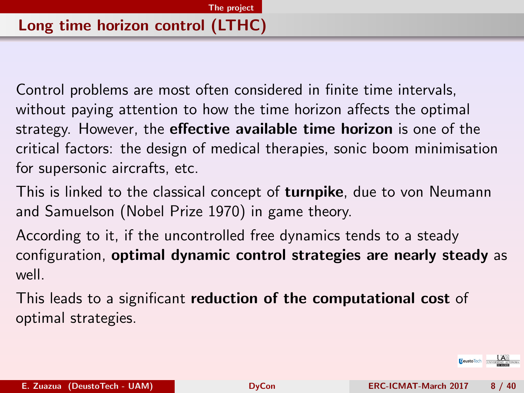<span id="page-7-0"></span>Control problems are most often considered in finite time intervals, without paying attention to how the time horizon affects the optimal strategy. However, the **effective available time horizon** is one of the critical factors: the design of medical therapies, sonic boom minimisation for supersonic aircrafts, etc.

This is linked to the classical concept of **turnpike**, due to von Neumann and Samuelson (Nobel Prize 1970) in game theory.

According to it, if the uncontrolled free dynamics tends to a steady configuration, optimal dynamic control strategies are nearly steady as well.

This leads to a significant reduction of the computational cost of optimal strategies.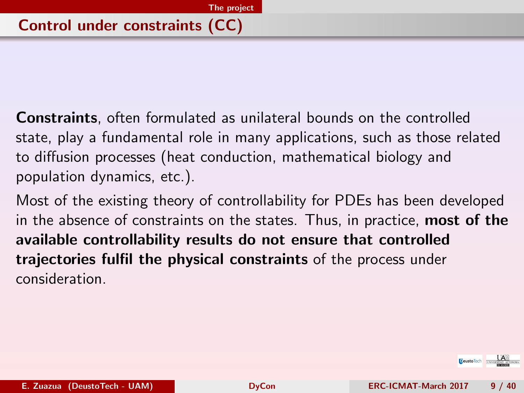<span id="page-8-0"></span>Constraints, often formulated as unilateral bounds on the controlled state, play a fundamental role in many applications, such as those related to diffusion processes (heat conduction, mathematical biology and population dynamics, etc.).

Most of the existing theory of controllability for PDEs has been developed in the absence of constraints on the states. Thus, in practice, most of the available controllability results do not ensure that controlled trajectories fulfil the physical constraints of the process under consideration.

**EeustoTech**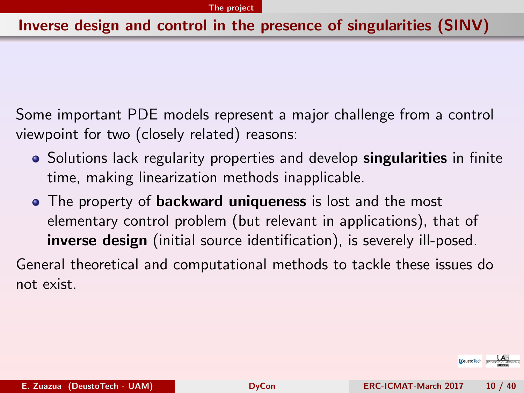#### <span id="page-9-0"></span>Inverse design and control in the presence of singularities (SINV)

Some important PDE models represent a major challenge from a control viewpoint for two (closely related) reasons:

- Solutions lack regularity properties and develop **singularities** in finite time, making linearization methods inapplicable.
- The property of **backward uniqueness** is lost and the most elementary control problem (but relevant in applications), that of inverse design (initial source identification), is severely ill-posed.

General theoretical and computational methods to tackle these issues do not exist.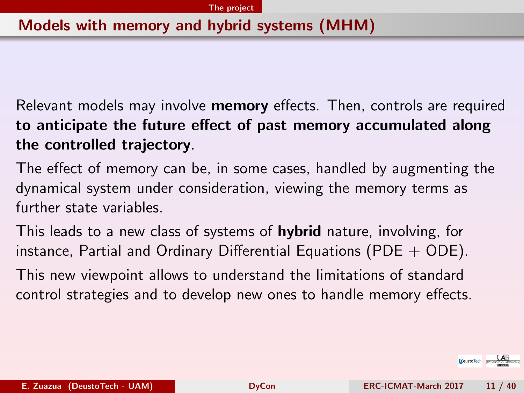#### <span id="page-10-0"></span>Models with memory and hybrid systems (MHM)

Relevant models may involve memory effects. Then, controls are required to anticipate the future effect of past memory accumulated along the controlled trajectory.

The effect of memory can be, in some cases, handled by augmenting the dynamical system under consideration, viewing the memory terms as further state variables.

This leads to a new class of systems of **hybrid** nature, involving, for instance, Partial and Ordinary Differential Equations (PDE  $+$  ODE).

This new viewpoint allows to understand the limitations of standard control strategies and to develop new ones to handle memory effects.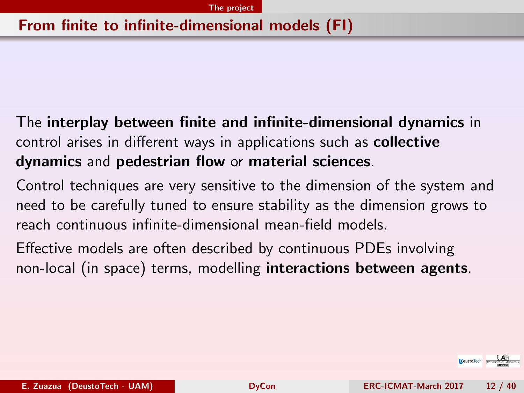#### <span id="page-11-0"></span>From finite to infinite-dimensional models (FI)

The interplay between finite and infinite-dimensional dynamics in control arises in different ways in applications such as collective dynamics and pedestrian flow or material sciences.

Control techniques are very sensitive to the dimension of the system and need to be carefully tuned to ensure stability as the dimension grows to reach continuous infinite-dimensional mean-field models.

Effective models are often described by continuous PDEs involving non-local (in space) terms, modelling interactions between agents.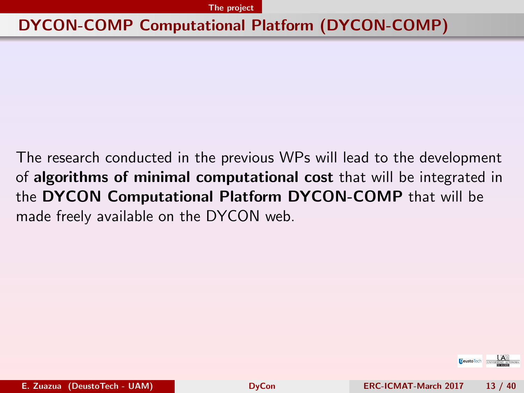# <span id="page-12-0"></span>DYCON-COMP Computational Platform (DYCON-COMP)

The research conducted in the previous WPs will lead to the development of algorithms of minimal computational cost that will be integrated in the DYCON Computational Platform DYCON-COMP that will be made freely available on the DYCON web.

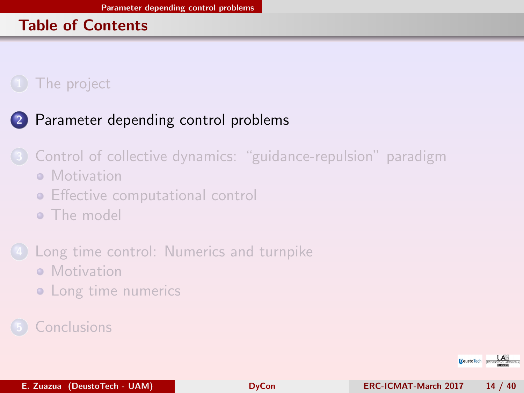#### <span id="page-13-0"></span>Table of Contents

# [The project](#page-1-0)

# 2 [Parameter depending control problems](#page-13-0)

- 3 [Control of collective dynamics: "guidance-repulsion" paradigm](#page-16-0) **• [Motivation](#page-17-0)** 
	- **•** [Effective computational control](#page-18-0)
	- **[The model](#page-19-0)**
- [Long time control: Numerics and turnpike](#page-22-0)
	- **[Motivation](#page-23-0)**
	- [Long time numerics](#page-25-0)

# **[Conclusions](#page-38-0)**

**DeustoTech INVER**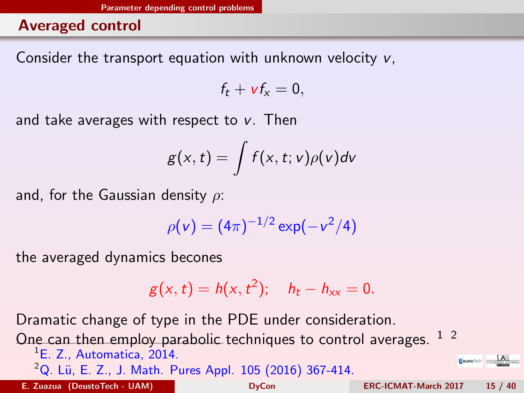#### <span id="page-14-0"></span>Averaged control

Consider the transport equation with unknown velocity v,

$$
f_t + v f_x = 0,
$$

and take averages with respect to  $v$ . Then

$$
g(x,t)=\int f(x,t;v)\rho(v)dv
$$

and, for the Gaussian density  $\rho$ :

$$
\rho(v) = (4\pi)^{-1/2} \exp(-v^2/4)
$$

the averaged dynamics becones

$$
g(x, t) = h(x, t^2);
$$
  $h_t - h_{xx} = 0.$ 

Dramatic change of type in the PDE under consideration.

One can then employ parabolic techniques to control averages.  $12$ 

<sup>1</sup>E. Z., Automatica, 2014.

<sup>2</sup>Q. Lü, E. Z., J. Math. Pures Appl. 105 (2016) 367-414.

E. Zuazua (DeustoTech - UAM) [DyCon](#page-0-0) ERC-ICMAT-March 2017 15 / 40

**E**eustoTech **IM**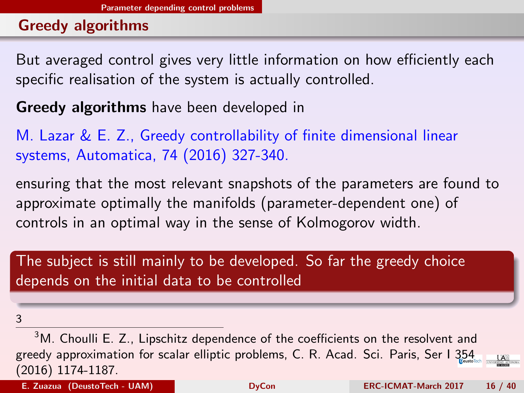#### <span id="page-15-0"></span>Greedy algorithms

But averaged control gives very little information on how efficiently each specific realisation of the system is actually controlled.

Greedy algorithms have been developed in

M. Lazar & E. Z., Greedy controllability of finite dimensional linear systems, Automatica, 74 (2016) 327-340.

ensuring that the most relevant snapshots of the parameters are found to approximate optimally the manifolds (parameter-dependent one) of controls in an optimal way in the sense of Kolmogorov width.

The subject is still mainly to be developed. So far the greedy choice depends on the initial data to be controlled

<sup>3</sup>

<sup>&</sup>lt;sup>3</sup>M. Choulli E. Z., Lipschitz dependence of the coefficients on the resolvent and greedy approximation for scalar elliptic problems, C. R. Acad. Sci. Paris, Ser I 354  $\mathbf{A}$ (2016) 1174-1187.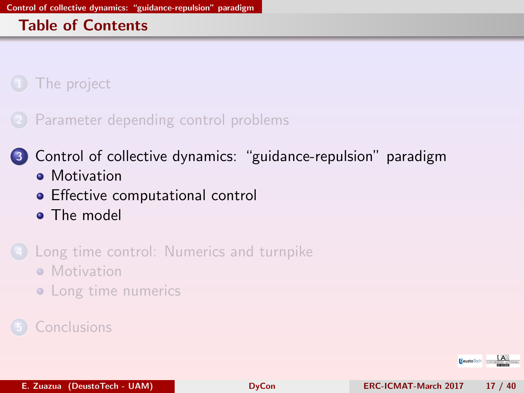#### <span id="page-16-0"></span>Table of Contents

[The project](#page-1-0)

2 [Parameter depending control problems](#page-13-0)

3 [Control of collective dynamics: "guidance-repulsion" paradigm](#page-16-0) **•** [Motivation](#page-17-0)

**•** [Effective computational control](#page-18-0)

**•** [The model](#page-19-0)

[Long time control: Numerics and turnpike](#page-22-0)

- **[Motivation](#page-23-0)**
- [Long time numerics](#page-25-0)

**[Conclusions](#page-38-0)** 

**Deustollech** TNIVER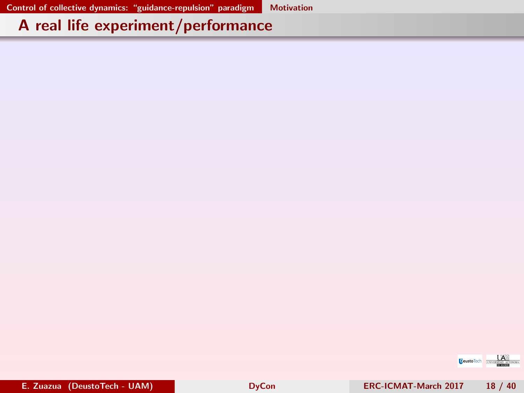# <span id="page-17-0"></span>A real life experiment/performance

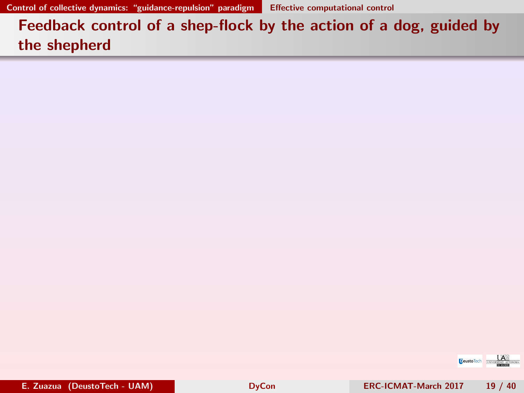<span id="page-18-0"></span>Feedback control of a shep-flock by the action of a dog, guided by the shepherd

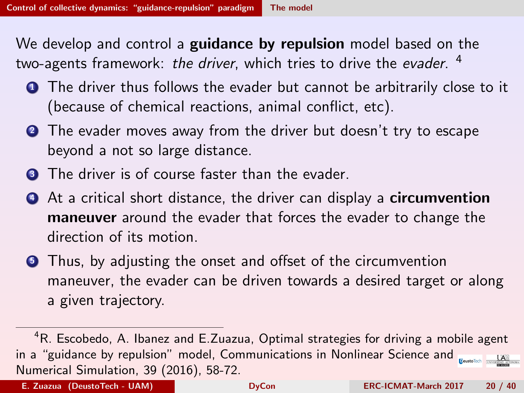<span id="page-19-0"></span>We develop and control a **guidance by repulsion** model based on the two-agents framework: *the driver*, which tries to drive the *evader*. <sup>4</sup>

- **1** The driver thus follows the evader but cannot be arbitrarily close to it (because of chemical reactions, animal conflict, etc).
- **2** The evader moves away from the driver but doesn't try to escape beyond a not so large distance.
- **3** The driver is of course faster than the evader.
- **4** At a critical short distance, the driver can display a **circumvention maneuver** around the evader that forces the evader to change the direction of its motion.
- **3** Thus, by adjusting the onset and offset of the circumvention maneuver, the evader can be driven towards a desired target or along a given trajectory.

<sup>&</sup>lt;sup>4</sup>R. Escobedo, A. Ibanez and E.Zuazua, Optimal strategies for driving a mobile agent in a "guidance by repulsion" model, Communications in Nonlinear Science and  $\frac{1}{\text{cosine}}$ Numerical Simulation, 39 (2016), 58-72.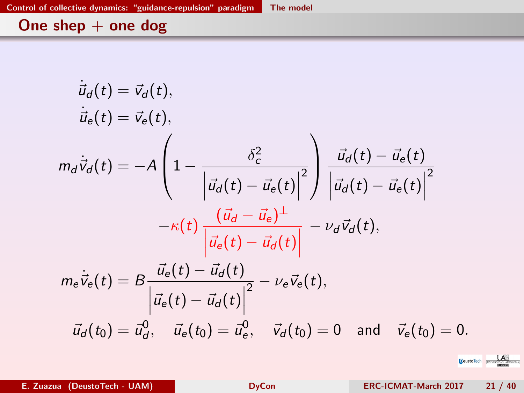# <span id="page-20-0"></span>One shep + one dog

$$
\dot{\vec{u}}_d(t) = \vec{v}_d(t),
$$
\n
$$
\dot{\vec{u}}_e(t) = \vec{v}_e(t),
$$
\n
$$
m_d \dot{\vec{v}}_d(t) = -A \left( 1 - \frac{\delta_c^2}{\left| \vec{u}_d(t) - \vec{u}_e(t) \right|^2} \right) \frac{\vec{u}_d(t) - \vec{u}_e(t)}{\left| \vec{u}_d(t) - \vec{u}_e(t) \right|^2}
$$
\n
$$
-\kappa(t) \frac{\left( \vec{u}_d - \vec{u}_e \right)^{\perp}}{\left| \vec{u}_e(t) - \vec{u}_d(t) \right|} - \nu_d \vec{v}_d(t),
$$
\n
$$
m_e \dot{\vec{v}}_e(t) = B \frac{\vec{u}_e(t) - \vec{u}_d(t)}{\left| \vec{u}_e(t) - \vec{u}_d(t) \right|^2} - \nu_e \vec{v}_e(t),
$$
\n
$$
\vec{u}_d(t_0) = \vec{u}_d^0, \quad \vec{u}_e(t_0) = \vec{u}_e^0, \quad \vec{v}_d(t_0) = 0 \text{ and } \vec{v}_e(t_0) = 0.
$$

E. Zuazua (DeustoTech - UAM) [DyCon](#page-0-0) ERC-ICMAT-March 2017 21 / 40

**E**eustoTech **LAW**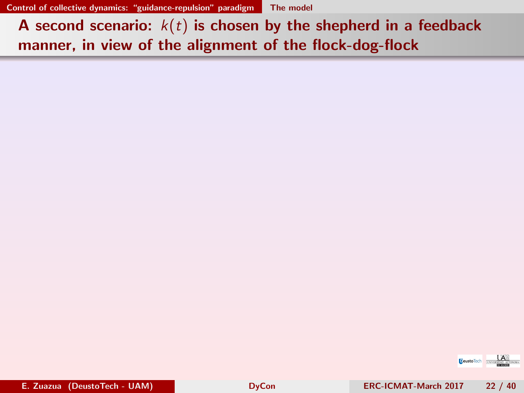<span id="page-21-0"></span>A second scenario:  $k(t)$  is chosen by the shepherd in a feedback manner, in view of the alignment of the flock-dog-flock

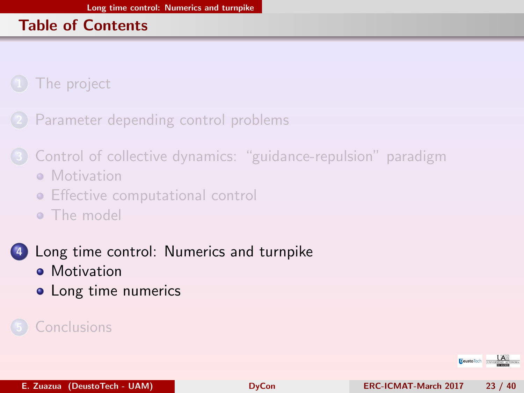#### <span id="page-22-0"></span>Table of Contents

[The project](#page-1-0)

[Parameter depending control problems](#page-13-0)

- 3 [Control of collective dynamics: "guidance-repulsion" paradigm](#page-16-0) **• [Motivation](#page-17-0)** 
	- **•** [Effective computational control](#page-18-0)
	- **[The model](#page-19-0)**
- 4 [Long time control: Numerics and turnpike](#page-22-0)
	- **•** [Motivation](#page-23-0)
	- [Long time numerics](#page-25-0)

#### **[Conclusions](#page-38-0)**

**DeustoTech INVER**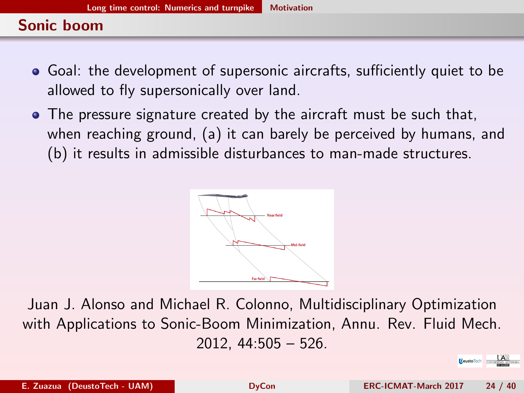#### <span id="page-23-0"></span>Sonic boom

- Goal: the development of supersonic aircrafts, sufficiently quiet to be allowed to fly supersonically over land.
- The pressure signature created by the aircraft must be such that, when reaching ground, (a) it can barely be perceived by humans, and (b) it results in admissible disturbances to man-made structures.



Juan J. Alonso and Michael R. Colonno, Multidisciplinary Optimization with Applications to Sonic-Boom Minimization, Annu. Rev. Fluid Mech. 2012, 44:505 – 526.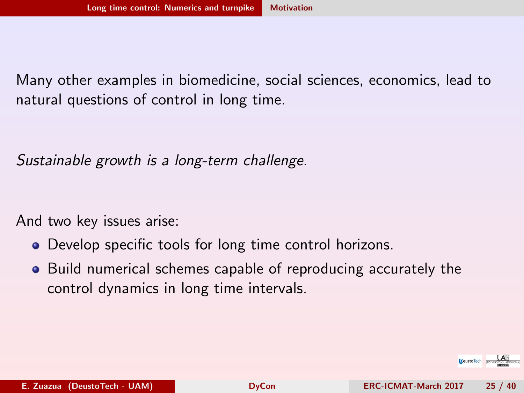<span id="page-24-0"></span>Many other examples in biomedicine, social sciences, economics, lead to natural questions of control in long time.

Sustainable growth is a long-term challenge.

And two key issues arise:

- Develop specific tools for long time control horizons.
- Build numerical schemes capable of reproducing accurately the control dynamics in long time intervals.

**Deusto Tech TNATISTICS**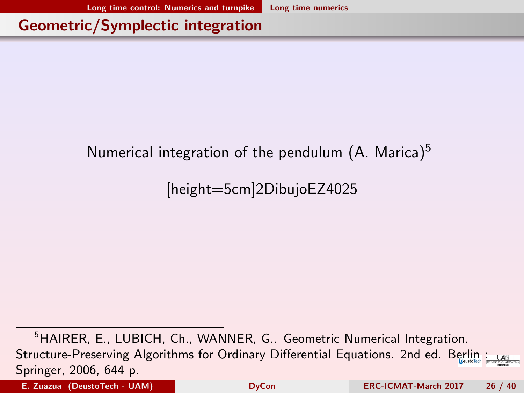<span id="page-25-0"></span>Geometric/Symplectic integration

#### Numerical integration of the pendulum  $(A.$  Marica)<sup>5</sup>

# [height=5cm]2DibujoEZ4025

<sup>5</sup>HAIRER, E., LUBICH, Ch., WANNER, G.. Geometric Numerical Integration. Structure-Preserving Algorithms for Ordinary Differential Equations. 2nd ed. Berlin : Springer, 2006, 644 p.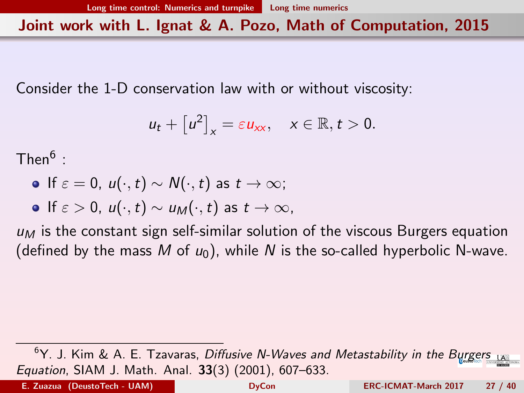<span id="page-26-0"></span>Joint work with L. Ignat & A. Pozo, Math of Computation, 2015

Consider the 1-D conservation law with or without viscosity:

$$
u_t + [u^2]_x = \varepsilon u_{xx}, \quad x \in \mathbb{R}, t > 0.
$$

 $\mathsf{Then}^6$  :

- If  $\varepsilon = 0$ ,  $u(\cdot, t) \sim N(\cdot, t)$  as  $t \to \infty$ ;
- If  $\varepsilon > 0$ ,  $u(\cdot, t) \sim u_M(\cdot, t)$  as  $t \to \infty$ ,

 $u_M$  is the constant sign self-similar solution of the viscous Burgers equation (defined by the mass M of  $u_0$ ), while N is the so-called hyperbolic N-wave.

 $6Y$ . J. Kim & A. E. Tzavaras, Diffusive N-Waves and Metastability in the Burgers LA Equation, SIAM J. Math. Anal. 33(3) (2001), 607–633.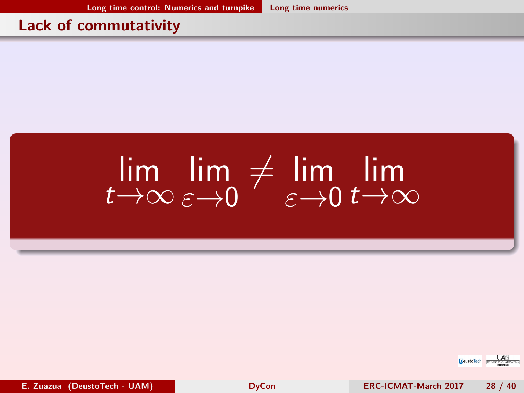[Long time control: Numerics and turnpike](#page-27-0) [Long time numerics](#page-27-0)

#### <span id="page-27-0"></span>Lack of commutativity

#### lim  $t\rightarrow\infty$ lim  $\varepsilon \rightarrow 0$  $\neq$  lim  $\varepsilon \rightarrow 0$ lim  $t\rightarrow\infty$

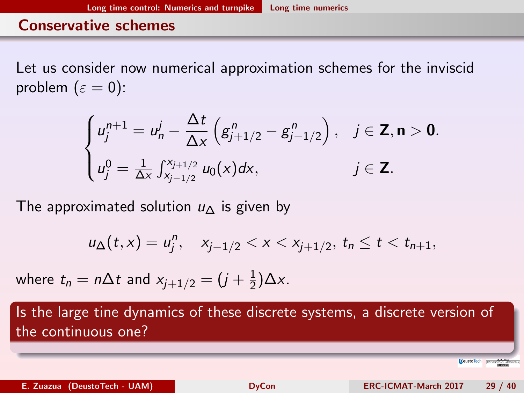#### <span id="page-28-0"></span>Conservative schemes

Let us consider now numerical approximation schemes for the inviscid problem  $(\varepsilon = 0)$ :

$$
\begin{cases}\n u_j^{n+1} = u_n^j - \frac{\Delta t}{\Delta x} \left( g_{j+1/2}^n - g_{j-1/2}^n \right), & j \in \mathbf{Z}, n > 0. \\
u_j^0 = \frac{1}{\Delta x} \int_{x_{j-1/2}}^{x_{j+1/2}} u_0(x) dx, & j \in \mathbf{Z}.\n\end{cases}
$$

The approximated solution  $u_0$  is given by

$$
u_{\Delta}(t,x)=u_j^n, \quad x_{j-1/2} < x < x_{j+1/2}, \ t_n \leq t < t_{n+1},
$$

where  $t_n=n\Delta t$  and  $x_{j+1/2}=(j+\frac{1}{2})$  $\frac{1}{2}$ ) $\Delta x$ .

Is the large tine dynamics of these discrete systems, a discrete version of the continuous one?

Deusto Tech **The Victoria Control**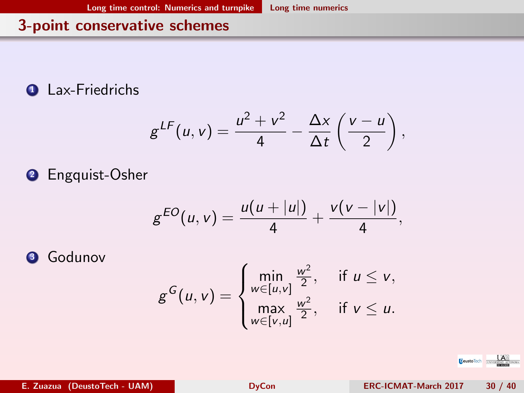# <span id="page-29-0"></span>3-point conservative schemes

**Q** Lax-Friedrichs

$$
g^{LF}(u,v)=\frac{u^2+v^2}{4}-\frac{\Delta x}{\Delta t}\left(\frac{v-u}{2}\right),
$$

<sup>2</sup> Engquist-Osher

$$
g^{EO}(u,v) = \frac{u(u+|u|)}{4} + \frac{v(v-|v|)}{4},
$$

**3** Godunov

$$
g^{G}(u,v) = \begin{cases} \min_{w \in [u,v]} \frac{w^2}{2}, & \text{if } u \leq v, \\ \max_{w \in [v,u]} \frac{w^2}{2}, & \text{if } v \leq u. \end{cases}
$$

**DeustoTech TINTER**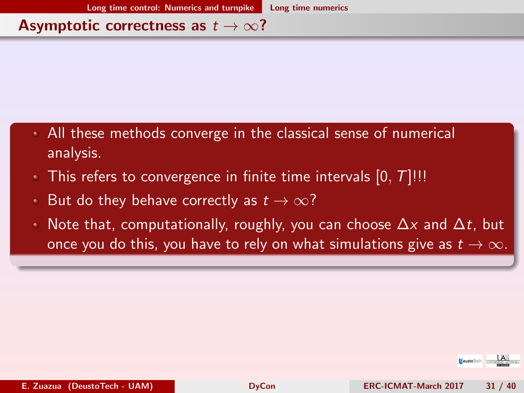#### <span id="page-30-0"></span>Asymptotic correctness as  $t \to \infty$ ?

- All these methods converge in the classical sense of numerical analysis.
- This refers to convergence in finite time intervals  $[0, T]$ !!!
- But do they behave correctly as  $t \to \infty$ ?
- Note that, computationally, roughly, you can choose  $\Delta x$  and  $\Delta t$ , but once you do this, you have to rely on what simulations give as  $t \to \infty$ .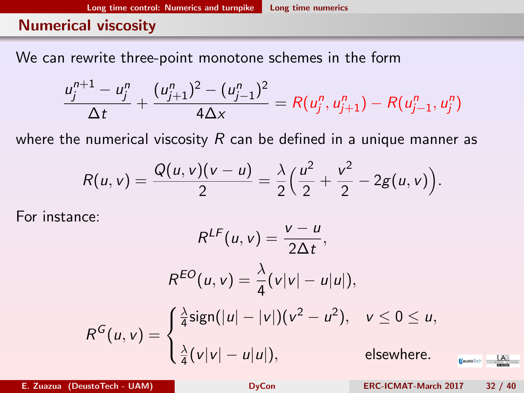#### <span id="page-31-0"></span>Numerical viscosity

We can rewrite three-point monotone schemes in the form

$$
\frac{u_j^{n+1}-u_j^n}{\Delta t}+\frac{(u_{j+1}^n)^2-(u_{j-1}^n)^2}{4\Delta x}=R(u_j^n,u_{j+1}^n)-R(u_{j-1}^n,u_j^n)
$$

where the numerical viscosity  $R$  can be defined in a unique manner as

$$
R(u,v) = \frac{Q(u,v)(v-u)}{2} = \frac{\lambda}{2} \left( \frac{u^2}{2} + \frac{v^2}{2} - 2g(u,v) \right).
$$

For instance:

$$
R^{LF}(u, v) = \frac{v - u}{2\Delta t},
$$
  
\n
$$
R^{EO}(u, v) = \frac{\lambda}{4}(v|v| - u|u|),
$$
  
\n
$$
R^{G}(u, v) = \begin{cases} \frac{\lambda}{4}sign(|u| - |v|)(v^{2} - u^{2}), & v \le 0 \le u, \\ \frac{\lambda}{4}(v|v| - u|u|), & \text{elsewhere.} \end{cases}
$$

E. Zuazua (DeustoTech - UAM) [DyCon](#page-0-0) ERC-ICMAT-March 2017 32 / 40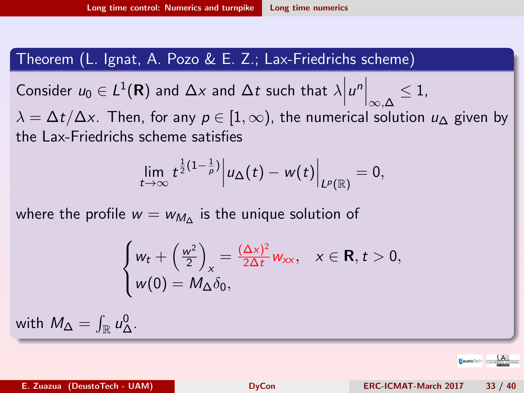#### <span id="page-32-0"></span>Theorem (L. Ignat, A. Pozo & E. Z.; Lax-Friedrichs scheme)

Consider  $u_0 \in L^1(\mathbf{R})$  and  $\Delta x$  and  $\Delta t$  such that  $\lambda$  $\left|u^n\right|_{\infty,\Delta} \leq 1,$ 

 $\lambda = \Delta t / \Delta x$ . Then, for any  $p \in [1, \infty)$ , the numerical solution  $u_{\Delta}$  given by the Lax-Friedrichs scheme satisfies

$$
\lim_{t\to\infty}t^{\frac{1}{2}(1-\frac{1}{p})}\Big|u_{\Delta}(t)-w(t)\Big|_{L^p(\mathbb{R})}=0,
$$

where the profile  $w=w_{\mathcal{M}_\Delta}$  is the unique solution of

$$
\begin{cases} w_t + \left(\frac{w^2}{2}\right)_x = \frac{(\Delta x)^2}{2\Delta t} w_{xx}, & x \in \mathbf{R}, t > 0, \\ w(0) = M_\Delta \delta_0, \end{cases}
$$

with  $M_{\Delta} = \int_{\mathbb{R}} u_{\Delta}^0$ .

**E**eustoTech **LAW**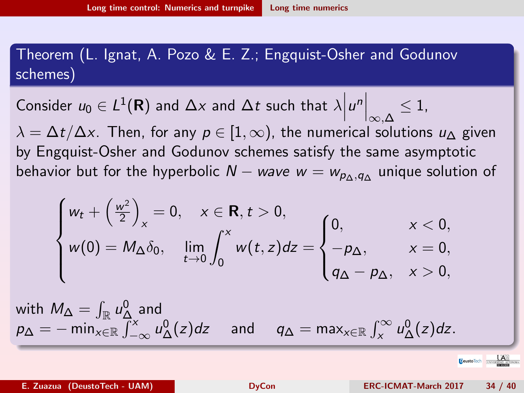# <span id="page-33-0"></span>Theorem (L. Ignat, A. Pozo & E. Z.; Engquist-Osher and Godunov schemes)

Consider  $u_0 \in L^1(\mathbf{R})$  and  $\Delta x$  and  $\Delta t$  such that  $\lambda$  $u^n\Big|_{\infty,\Delta}\leq 1,$  $\lambda = \Delta t / \Delta x$ . Then, for any  $p \in [1, \infty)$ , the numerical solutions  $u_{\Delta}$  given by Engquist-Osher and Godunov schemes satisfy the same asymptotic behavior but for the hyperbolic  $N-$  wave  $w=w_{\rho_\Delta,q_\Delta}$  unique solution of

$$
\begin{cases} w_t + \left(\frac{w^2}{2}\right)_x = 0, & x \in \mathbf{R}, t > 0, \\ w(0) = M_\Delta \delta_0, & \lim_{t \to 0} \int_0^x w(t, z) dz = \begin{cases} 0, & x < 0, \\ -p_\Delta, & x = 0, \\ q_\Delta - p_\Delta, & x > 0, \end{cases}
$$

with 
$$
M_{\Delta} = \int_{\mathbb{R}} u_{\Delta}^{0}
$$
 and  
\n $p_{\Delta} = -\min_{x \in \mathbb{R}} \int_{-\infty}^{x} u_{\Delta}^{0}(z) dz$  and  $q_{\Delta} = \max_{x \in \mathbb{R}} \int_{x}^{\infty} u_{\Delta}^{0}(z) dz$ .

**E**eustoTech **IM**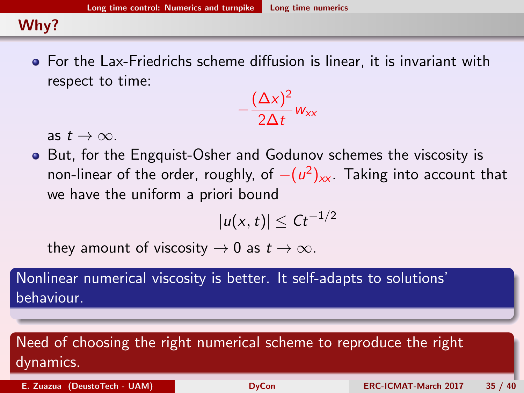[Long time control: Numerics and turnpike](#page-34-0) [Long time numerics](#page-34-0)

#### <span id="page-34-0"></span>Why?

For the Lax-Friedrichs scheme diffusion is linear, it is invariant with respect to time:

$$
-\frac{(\Delta x)^2}{2\Delta t}w_{xx}
$$

as  $t \to \infty$ .

• But, for the Engquist-Osher and Godunov schemes the viscosity is non-linear of the order, roughly, of  $-(u^2)_{\mathsf{xx}}$ . Taking into account that we have the uniform a priori bound

$$
|u(x,t)|\leq Ct^{-1/2}
$$

they amount of viscosity  $\rightarrow$  0 as  $t \rightarrow \infty$ .

Nonlinear numerical viscosity is better. It self-adapts to solutions' behaviour.

# Need of choosing the right numerical scheme to reproduce the right dynamics.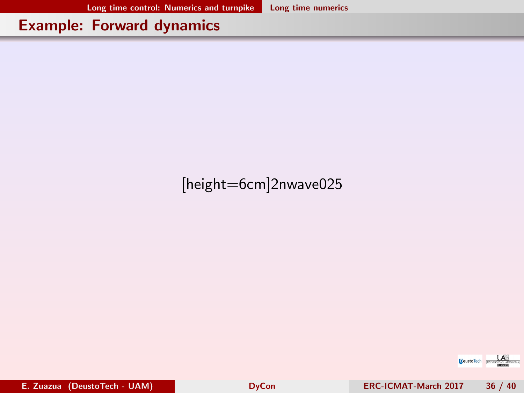[Long time control: Numerics and turnpike](#page-35-0) [Long time numerics](#page-35-0)

#### <span id="page-35-0"></span>Example: Forward dynamics

# [height=6cm]2nwave025

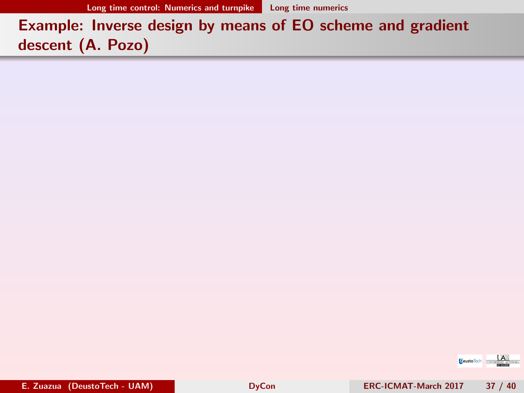# <span id="page-36-0"></span>Example: Inverse design by means of EO scheme and gradient descent (A. Pozo)

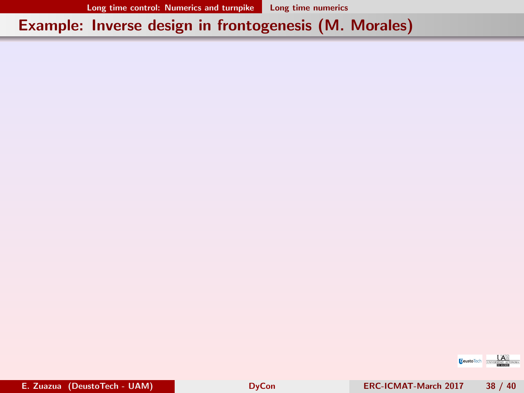### <span id="page-37-0"></span>Example: Inverse design in frontogenesis (M. Morales)

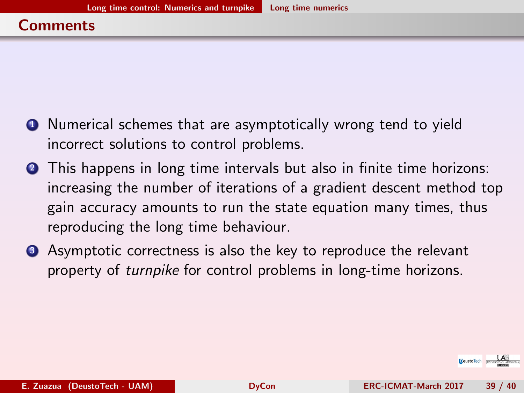- <span id="page-38-0"></span>**1** Numerical schemes that are asymptotically wrong tend to yield incorrect solutions to control problems.
- **2** This happens in long time intervals but also in finite time horizons: increasing the number of iterations of a gradient descent method top gain accuracy amounts to run the state equation many times, thus reproducing the long time behaviour.
- **3** Asymptotic correctness is also the key to reproduce the relevant property of turnpike for control problems in long-time horizons.

**DeustoTech INVER**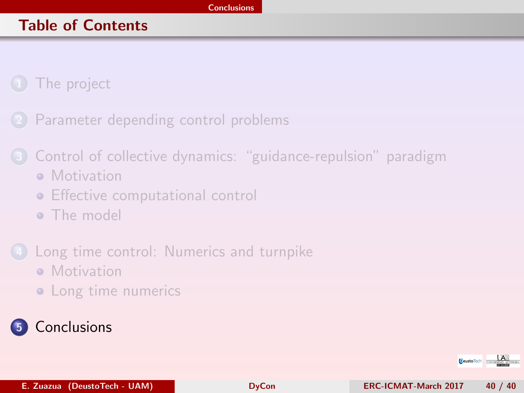#### <span id="page-39-0"></span>Table of Contents

[The project](#page-1-0)

[Parameter depending control problems](#page-13-0)

- 3 [Control of collective dynamics: "guidance-repulsion" paradigm](#page-16-0) **• [Motivation](#page-17-0)** 
	- **•** [Effective computational control](#page-18-0)
	- **•** [The model](#page-19-0)
- [Long time control: Numerics and turnpike](#page-22-0) **• [Motivation](#page-23-0)** 
	- [Long time numerics](#page-25-0)

# **[Conclusions](#page-38-0)**

**DeustoTech TINVE**